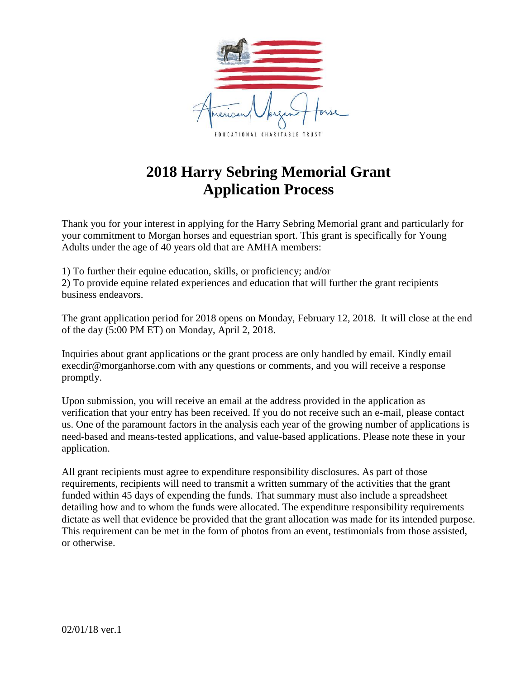

### **2018 Harry Sebring Memorial Grant Application Process**

Thank you for your interest in applying for the Harry Sebring Memorial grant and particularly for your commitment to Morgan horses and equestrian sport. This grant is specifically for Young Adults under the age of 40 years old that are AMHA members:

1) To further their equine education, skills, or proficiency; and/or

2) To provide equine related experiences and education that will further the grant recipients business endeavors.

The grant application period for 2018 opens on Monday, February 12, 2018. It will close at the end of the day (5:00 PM ET) on Monday, April 2, 2018.

Inquiries about grant applications or the grant process are only handled by email. Kindly email execdir@morganhorse.com with any questions or comments, and you will receive a response promptly.

Upon submission, you will receive an email at the address provided in the application as verification that your entry has been received. If you do not receive such an e-mail, please contact us. One of the paramount factors in the analysis each year of the growing number of applications is need-based and means-tested applications, and value-based applications. Please note these in your application.

All grant recipients must agree to expenditure responsibility disclosures. As part of those requirements, recipients will need to transmit a written summary of the activities that the grant funded within 45 days of expending the funds. That summary must also include a spreadsheet detailing how and to whom the funds were allocated. The expenditure responsibility requirements dictate as well that evidence be provided that the grant allocation was made for its intended purpose. This requirement can be met in the form of photos from an event, testimonials from those assisted, or otherwise.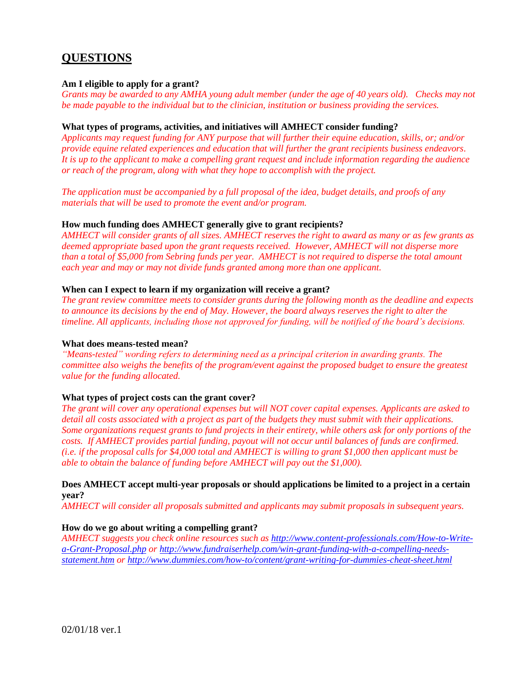### **QUESTIONS**

#### **Am I eligible to apply for a grant?**

*Grants may be awarded to any AMHA young adult member (under the age of 40 years old). Checks may not be made payable to the individual but to the clinician, institution or business providing the services.*

#### **What types of programs, activities, and initiatives will AMHECT consider funding?**

*Applicants may request funding for ANY purpose that will further their equine education, skills, or; and/or provide equine related experiences and education that will further the grant recipients business endeavors. It is up to the applicant to make a compelling grant request and include information regarding the audience or reach of the program, along with what they hope to accomplish with the project.*

*The application must be accompanied by a full proposal of the idea, budget details, and proofs of any materials that will be used to promote the event and/or program.* 

#### **How much funding does AMHECT generally give to grant recipients?**

*AMHECT will consider grants of all sizes. AMHECT reserves the right to award as many or as few grants as deemed appropriate based upon the grant requests received. However, AMHECT will not disperse more than a total of \$5,000 from Sebring funds per year. AMHECT is not required to disperse the total amount each year and may or may not divide funds granted among more than one applicant.*

#### **When can I expect to learn if my organization will receive a grant?**

*The grant review committee meets to consider grants during the following month as the deadline and expects to announce its decisions by the end of May. However, the board always reserves the right to alter the timeline. All applicants, including those not approved for funding, will be notified of the board's decisions.*

#### **What does means-tested mean?**

*"Means-tested" wording refers to determining need as a principal criterion in awarding grants. The committee also weighs the benefits of the program/event against the proposed budget to ensure the greatest value for the funding allocated.* 

#### **What types of project costs can the grant cover?**

*The grant will cover any operational expenses but will NOT cover capital expenses. Applicants are asked to detail all costs associated with a project as part of the budgets they must submit with their applications. Some organizations request grants to fund projects in their entirety, while others ask for only portions of the costs. If AMHECT provides partial funding, payout will not occur until balances of funds are confirmed. (i.e. if the proposal calls for \$4,000 total and AMHECT is willing to grant \$1,000 then applicant must be able to obtain the balance of funding before AMHECT will pay out the \$1,000).*

#### **Does AMHECT accept multi-year proposals or should applications be limited to a project in a certain year?**

*AMHECT will consider all proposals submitted and applicants may submit proposals in subsequent years.* 

#### **How do we go about writing a compelling grant?**

*AMHECT suggests you check online resources such as [http://www.content-professionals.com/How-to-Write](http://www.content-professionals.com/How-to-Write-a-Grant-Proposal.php)[a-Grant-Proposal.php](http://www.content-professionals.com/How-to-Write-a-Grant-Proposal.php) or [http://www.fundraiserhelp.com/win-grant-funding-with-a-compelling-needs](http://www.fundraiserhelp.com/win-grant-funding-with-a-compelling-needs-statement.htm)[statement.htm](http://www.fundraiserhelp.com/win-grant-funding-with-a-compelling-needs-statement.htm) o[r http://www.dummies.com/how-to/content/grant-writing-for-dummies-cheat-sheet.html](http://www.dummies.com/how-to/content/grant-writing-for-dummies-cheat-sheet.html)*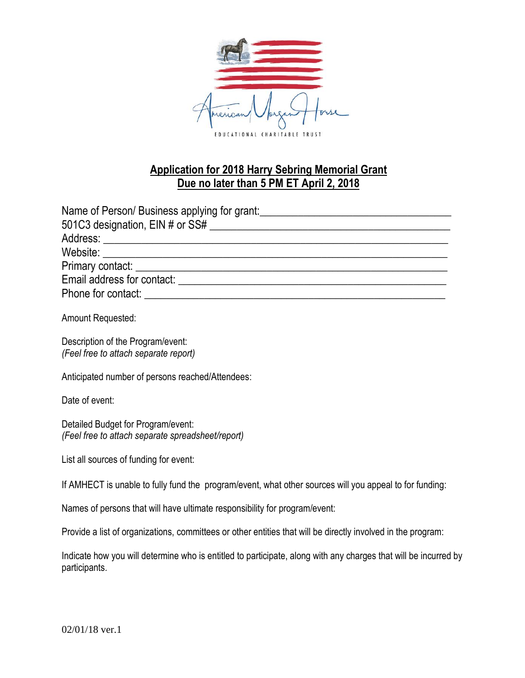

### **Application for 2018 Harry Sebring Memorial Grant Due no later than 5 PM ET April 2, 2018**

| Name of Person/Business applying for grant: |
|---------------------------------------------|
|                                             |
|                                             |
|                                             |
|                                             |
| Email address for contact:                  |
| Phone for contact: <b>Example 2018</b>      |

Amount Requested:

Description of the Program/event: *(Feel free to attach separate report)*

Anticipated number of persons reached/Attendees:

Date of event:

Detailed Budget for Program/event: *(Feel free to attach separate spreadsheet/report)*

List all sources of funding for event:

If AMHECT is unable to fully fund the program/event, what other sources will you appeal to for funding:

Names of persons that will have ultimate responsibility for program/event:

Provide a list of organizations, committees or other entities that will be directly involved in the program:

Indicate how you will determine who is entitled to participate, along with any charges that will be incurred by participants.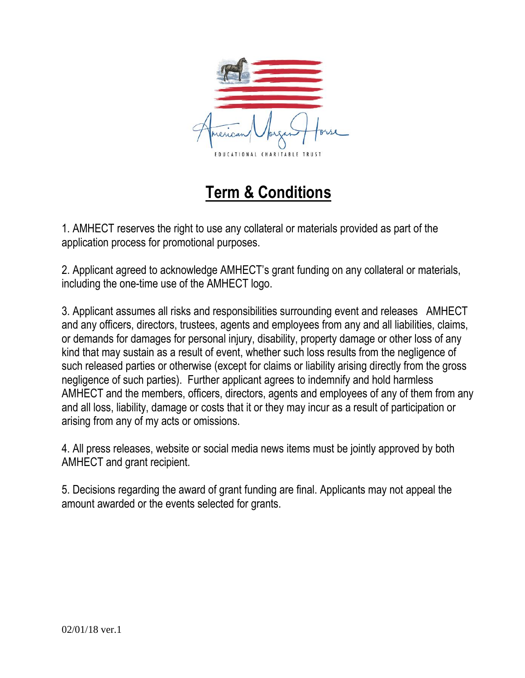

# **Term & Conditions**

1. AMHECT reserves the right to use any collateral or materials provided as part of the application process for promotional purposes.

2. Applicant agreed to acknowledge AMHECT's grant funding on any collateral or materials, including the one-time use of the AMHECT logo.

3. Applicant assumes all risks and responsibilities surrounding event and releases AMHECT and any officers, directors, trustees, agents and employees from any and all liabilities, claims, or demands for damages for personal injury, disability, property damage or other loss of any kind that may sustain as a result of event, whether such loss results from the negligence of such released parties or otherwise (except for claims or liability arising directly from the gross negligence of such parties). Further applicant agrees to indemnify and hold harmless AMHECT and the members, officers, directors, agents and employees of any of them from any and all loss, liability, damage or costs that it or they may incur as a result of participation or arising from any of my acts or omissions.

4. All press releases, website or social media news items must be jointly approved by both AMHECT and grant recipient.

5. Decisions regarding the award of grant funding are final. Applicants may not appeal the amount awarded or the events selected for grants.